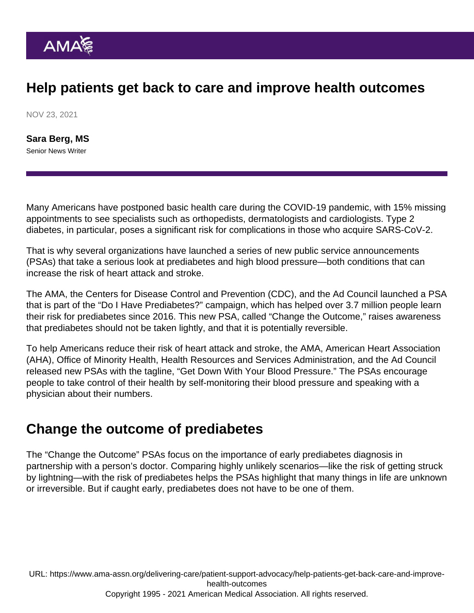## Help patients get back to care and improve health outcomes

NOV 23, 2021

[Sara Berg, MS](https://www.ama-assn.org/news-leadership-viewpoints/authors-news-leadership-viewpoints/sara-berg-ms) Senior News Writer

Many Americans have postponed basic health care during the COVID-19 pandemic, with 15% missing appointments to see specialists such as orthopedists, dermatologists and cardiologists. Type 2 diabetes, in particular, poses a significant risk for complications in those who acquire SARS-CoV-2.

That is why several organizations have launched a series of new public service announcements (PSAs) that take a serious look at prediabetes and high blood pressure—both conditions that can increase the risk of heart attack and stroke.

The AMA, the Centers for Disease Control and Prevention (CDC), and the Ad Council launched a PSA that is part of the "[Do I Have Prediabetes?](https://doihaveprediabetes.org/take-the-risk-test/#/)" campaign, which has helped over 3.7 million people learn their risk for prediabetes since 2016. This new PSA, called ["Change the Outcome,](https://youtu.be/wFfygXVg_os)" raises awareness that prediabetes should not be taken lightly, and that it is potentially reversible.

To help Americans reduce their risk of heart attack and stroke, the AMA, American Heart Association (AHA), Office of Minority Health, Health Resources and Services Administration, and the Ad Council released new PSAs with the tagline, "[Get Down With Your Blood Pressure.](https://youtu.be/x6KTnk3pkKY)" The PSAs encourage people to take control of their health by self-monitoring their blood pressure and speaking with a physician about their numbers.

## Change the outcome of prediabetes

The "Change the Outcome" PSAs focus on the importance of early [prediabetes diagnosis](https://www.ama-assn.org/delivering-care/diabetes/what-doctors-wish-patients-knew-about-prediabetes-diagnosis) in partnership with a person's doctor. Comparing highly unlikely scenarios—like the risk of getting struck by lightning—with the risk of prediabetes helps the PSAs highlight that many things in life are unknown or irreversible. But if caught early, prediabetes does not have to be one of them.

URL: [https://www.ama-assn.org/delivering-care/patient-support-advocacy/help-patients-get-back-care-and-improve](https://www.ama-assn.org/delivering-care/patient-support-advocacy/help-patients-get-back-care-and-improve-health-outcomes)[health-outcomes](https://www.ama-assn.org/delivering-care/patient-support-advocacy/help-patients-get-back-care-and-improve-health-outcomes) Copyright 1995 - 2021 American Medical Association. All rights reserved.